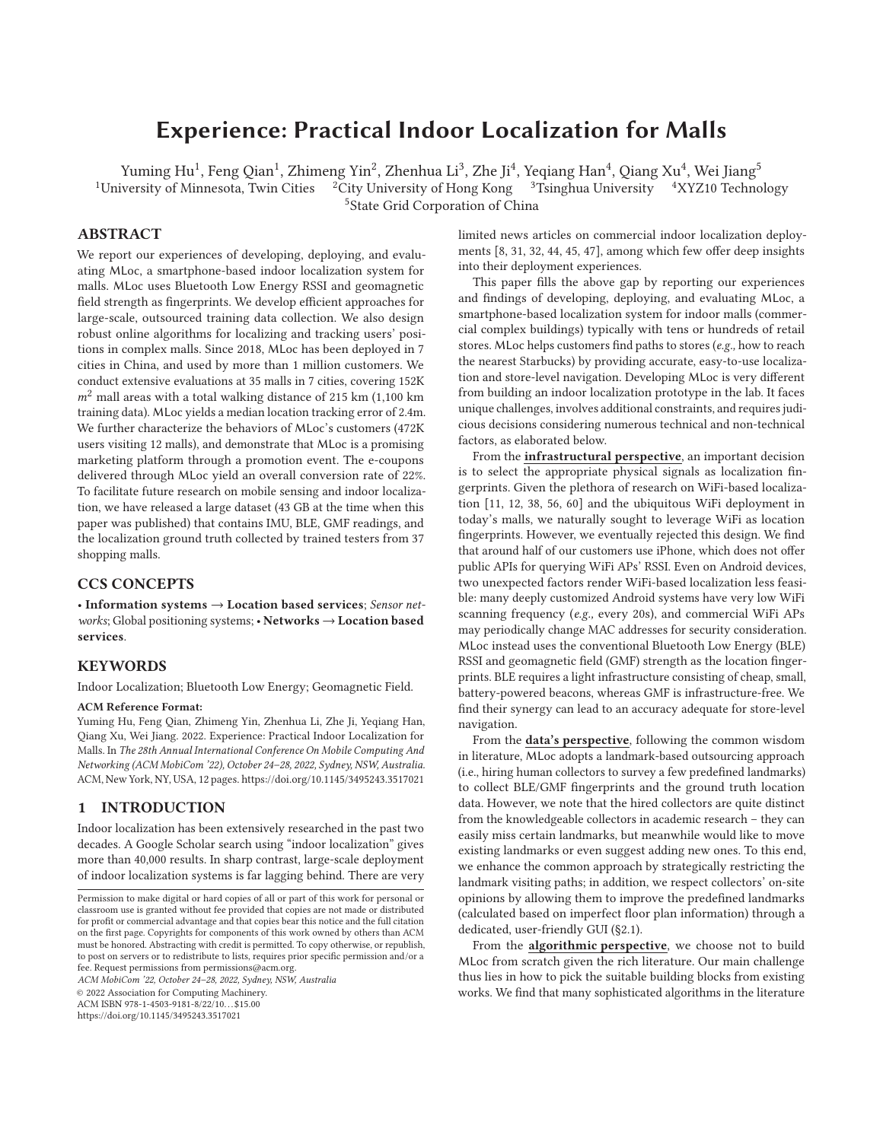# **Experience: Practical Indoor Localization for Malls**

Yuming Hu<sup>1</sup>, Feng Qian<sup>1</sup>, Zhimeng Yin<sup>2</sup>, Zhenhua Li<sup>3</sup>, Zhe Ji<sup>4</sup>, Yeqiang Han<sup>4</sup>, Qiang Xu<sup>4</sup>, Wei Jiang<sup>5</sup> iversity of Minnesota, Twin Cities <sup>2</sup> City University of Hong Kong <sup>3</sup> Tsinghua University <sup>4</sup> XYZ10 Techno

<sup>1</sup>University of Minnesota, Twin Cities <sup>2</sup>City University of Hong Kong <sup>3</sup>Tsinghua University <sup>4</sup>XYZ10 Technology

5State Grid Corporation of China

# **ABSTRACT**

We report our experiences of developing, deploying, and evaluating MLoc, a smartphone-based indoor localization system for malls. MLoc uses Bluetooth Low Energy RSSI and geomagnetic field strength as fingerprints. We develop efficient approaches for large-scale, outsourced training data collection. We also design robust online algorithms for localizing and tracking users' positions in complex malls. Since 2018, MLoc has been deployed in 7 cities in China, and used by more than 1 million customers. We conduct extensive evaluations at 35 malls in 7 cities, covering 152K  $m^2$  mall areas with a total walking distance of 215 km (1,100 km training data). MLoc yields a median location tracking error of 2.4m. We further characterize the behaviors of MLoc's customers (472K users visiting 12 malls), and demonstrate that MLoc is a promising marketing platform through a promotion event. The e-coupons delivered through MLoc yield an overall conversion rate of 22%. To facilitate future research on mobile sensing and indoor localization, we have released a large dataset (43 GB at the time when this paper was published) that contains IMU, BLE, GMF readings, and the localization ground truth collected by trained testers from 37 shopping malls.

# **CCS CONCEPTS**

• **Information systems** → **Location based services**; *Sensor networks*; Global positioning systems; • **Networks** → **Location based services**.

# **KEYWORDS**

Indoor Localization; Bluetooth Low Energy; Geomagnetic Field.

#### **ACM Reference Format:**

Yuming Hu, Feng Qian, Zhimeng Yin, Zhenhua Li, Zhe Ji, Yeqiang Han, Qiang Xu, Wei Jiang. 2022. Experience: Practical Indoor Localization for Malls. In *The 28th Annual International Conference On Mobile Computing And Networking (ACM MobiCom '22), October 24–28, 2022, Sydney, NSW, Australia.* ACM, New York, NY, USA, 12 pages. https://doi.org/10.1145/3495243.3517021

# **1 INTRODUCTION**

Indoor localization has been extensively researched in the past two decades. A Google Scholar search using "indoor localization" gives more than 40,000 results. In sharp contrast, large-scale deployment of indoor localization systems is far lagging behind. There are very

*ACM MobiCom '22, October 24–28, 2022, Sydney, NSW, Australia*

© 2022 Association for Computing Machinery.

ACM ISBN 978-1-4503-9181-8/22/10. . . \$15.00

https://doi.org/10.1145/3495243.3517021

limited news articles on commercial indoor localization deployments [8, 31, 32, 44, 45, 47], among which few offer deep insights into their deployment experiences.

This paper fills the above gap by reporting our experiences and findings of developing, deploying, and evaluating MLoc, a smartphone-based localization system for indoor malls (commercial complex buildings) typically with tens or hundreds of retail stores. MLoc helps customers find paths to stores (*e.g.,* how to reach the nearest Starbucks) by providing accurate, easy-to-use localization and store-level navigation. Developing MLoc is very different from building an indoor localization prototype in the lab. It faces unique challenges, involves additional constraints, and requires judicious decisions considering numerous technical and non-technical factors, as elaborated below.

From the **infrastructural perspective**, an important decision is to select the appropriate physical signals as localization fingerprints. Given the plethora of research on WiFi-based localization [11, 12, 38, 56, 60] and the ubiquitous WiFi deployment in today's malls, we naturally sought to leverage WiFi as location fingerprints. However, we eventually rejected this design. We find that around half of our customers use iPhone, which does not offer public APIs for querying WiFi APs' RSSI. Even on Android devices, two unexpected factors render WiFi-based localization less feasible: many deeply customized Android systems have very low WiFi scanning frequency (*e.g.,* every 20s), and commercial WiFi APs may periodically change MAC addresses for security consideration. MLoc instead uses the conventional Bluetooth Low Energy (BLE) RSSI and geomagnetic field (GMF) strength as the location fingerprints. BLE requires a light infrastructure consisting of cheap, small, battery-powered beacons, whereas GMF is infrastructure-free. We find their synergy can lead to an accuracy adequate for store-level navigation.

From the **data's perspective**, following the common wisdom in literature, MLoc adopts a landmark-based outsourcing approach (i.e., hiring human collectors to survey a few predefined landmarks) to collect BLE/GMF fingerprints and the ground truth location data. However, we note that the hired collectors are quite distinct from the knowledgeable collectors in academic research – they can easily miss certain landmarks, but meanwhile would like to move existing landmarks or even suggest adding new ones. To this end, we enhance the common approach by strategically restricting the landmark visiting paths; in addition, we respect collectors' on-site opinions by allowing them to improve the predefined landmarks (calculated based on imperfect floor plan information) through a dedicated, user-friendly GUI (§2.1).

From the **algorithmic perspective**, we choose not to build MLoc from scratch given the rich literature. Our main challenge thus lies in how to pick the suitable building blocks from existing works. We find that many sophisticated algorithms in the literature

Permission to make digital or hard copies of all or part of this work for personal or classroom use is granted without fee provided that copies are not made or distributed for profit or commercial advantage and that copies bear this notice and the full citation on the first page. Copyrights for components of this work owned by others than ACM must be honored. Abstracting with credit is permitted. To copy otherwise, or republish, to post on servers or to redistribute to lists, requires prior specific permission and/or a fee. Request permissions from permissions@acm.org.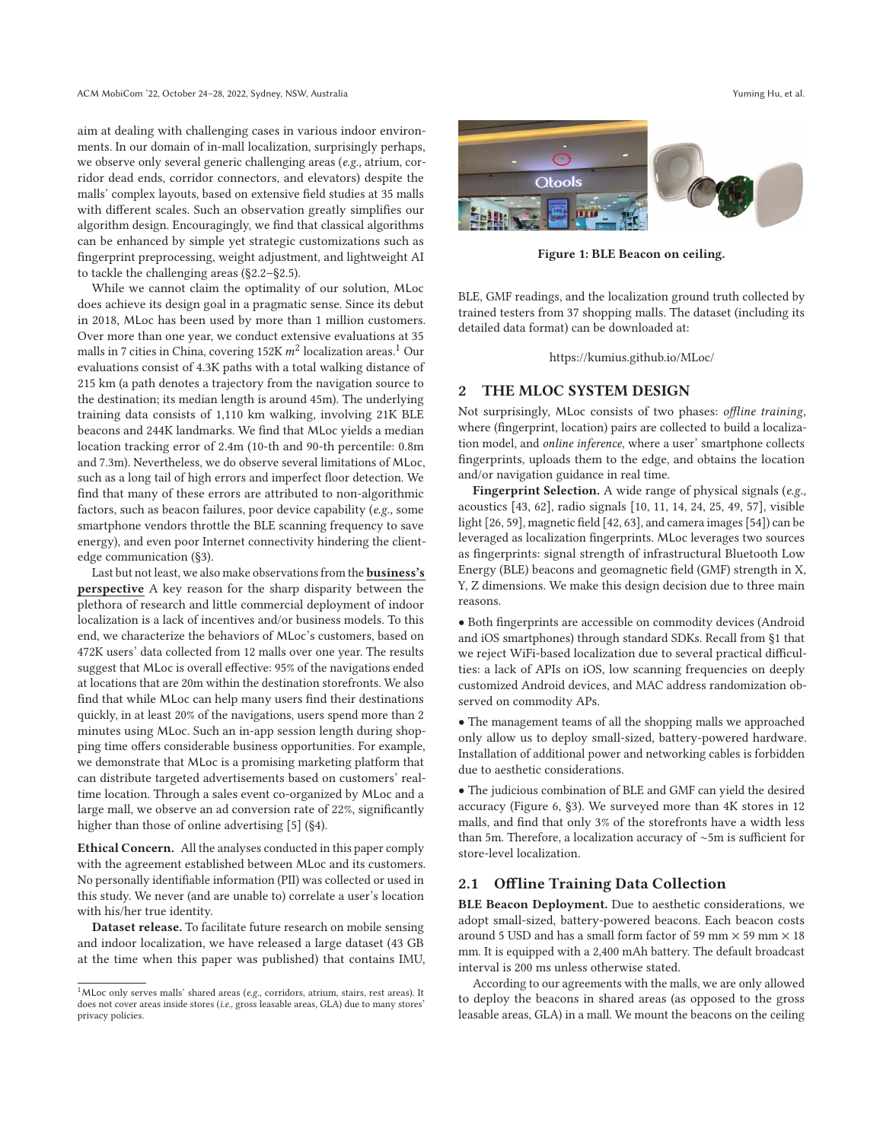aim at dealing with challenging cases in various indoor environments. In our domain of in-mall localization, surprisingly perhaps, we observe only several generic challenging areas (*e.g.,* atrium, corridor dead ends, corridor connectors, and elevators) despite the malls' complex layouts, based on extensive field studies at 35 malls with different scales. Such an observation greatly simplifies our algorithm design. Encouragingly, we find that classical algorithms can be enhanced by simple yet strategic customizations such as fingerprint preprocessing, weight adjustment, and lightweight AI to tackle the challenging areas (§2.2–§2.5).

While we cannot claim the optimality of our solution, MLoc does achieve its design goal in a pragmatic sense. Since its debut in 2018, MLoc has been used by more than 1 million customers. Over more than one year, we conduct extensive evaluations at 35 malls in 7 cities in China, covering 152K  $m^2$  localization areas.<sup>1</sup> Our evaluations consist of 4.3K paths with a total walking distance of 215 km (a path denotes a trajectory from the navigation source to the destination; its median length is around 45m). The underlying training data consists of 1,110 km walking, involving 21K BLE beacons and 244K landmarks. We find that MLoc yields a median location tracking error of 2.4m (10-th and 90-th percentile: 0.8m and 7.3m). Nevertheless, we do observe several limitations of MLoc, such as a long tail of high errors and imperfect floor detection. We find that many of these errors are attributed to non-algorithmic factors, such as beacon failures, poor device capability (*e.g.,* some smartphone vendors throttle the BLE scanning frequency to save energy), and even poor Internet connectivity hindering the clientedge communication (§3).

Last but not least, we also make observations from the **business's perspective** A key reason for the sharp disparity between the plethora of research and little commercial deployment of indoor localization is a lack of incentives and/or business models. To this end, we characterize the behaviors of MLoc's customers, based on 472K users' data collected from 12 malls over one year. The results suggest that MLoc is overall effective: 95% of the navigations ended at locations that are 20m within the destination storefronts. We also find that while MLoc can help many users find their destinations quickly, in at least 20% of the navigations, users spend more than 2 minutes using MLoc. Such an in-app session length during shopping time offers considerable business opportunities. For example, we demonstrate that MLoc is a promising marketing platform that can distribute targeted advertisements based on customers' realtime location. Through a sales event co-organized by MLoc and a large mall, we observe an ad conversion rate of 22%, significantly higher than those of online advertising [5] (§4).

**Ethical Concern.** All the analyses conducted in this paper comply with the agreement established between MLoc and its customers. No personally identifiable information (PII) was collected or used in this study. We never (and are unable to) correlate a user's location with his/her true identity.

**Dataset release.** To facilitate future research on mobile sensing and indoor localization, we have released a large dataset (43 GB at the time when this paper was published) that contains IMU,



**Figure 1: BLE Beacon on ceiling.**

BLE, GMF readings, and the localization ground truth collected by trained testers from 37 shopping malls. The dataset (including its detailed data format) can be downloaded at:

https://kumius.github.io/MLoc/

## **2 THE MLOC SYSTEM DESIGN**

Not surprisingly, MLoc consists of two phases: *offline training*, where (fingerprint, location) pairs are collected to build a localization model, and *online inference*, where a user' smartphone collects fingerprints, uploads them to the edge, and obtains the location and/or navigation guidance in real time.

**Fingerprint Selection.** A wide range of physical signals (*e.g.,* acoustics [43, 62], radio signals [10, 11, 14, 24, 25, 49, 57], visible light [26, 59], magnetic field [42, 63], and camera images [54]) can be leveraged as localization fingerprints. MLoc leverages two sources as fingerprints: signal strength of infrastructural Bluetooth Low Energy (BLE) beacons and geomagnetic field (GMF) strength in X, Y, Z dimensions. We make this design decision due to three main reasons.

• Both fingerprints are accessible on commodity devices (Android and iOS smartphones) through standard SDKs. Recall from §1 that we reject WiFi-based localization due to several practical difficulties: a lack of APIs on iOS, low scanning frequencies on deeply customized Android devices, and MAC address randomization observed on commodity APs.

• The management teams of all the shopping malls we approached only allow us to deploy small-sized, battery-powered hardware. Installation of additional power and networking cables is forbidden due to aesthetic considerations.

• The judicious combination of BLE and GMF can yield the desired accuracy (Figure 6, §3). We surveyed more than 4K stores in 12 malls, and find that only 3% of the storefronts have a width less than 5m. Therefore, a localization accuracy of ∼5m is sufficient for store-level localization.

# **2.1 Offline Training Data Collection**

**BLE Beacon Deployment.** Due to aesthetic considerations, we adopt small-sized, battery-powered beacons. Each beacon costs around 5 USD and has a small form factor of 59 mm  $\times$  59 mm  $\times$  18 mm. It is equipped with a 2,400 mAh battery. The default broadcast interval is 200 ms unless otherwise stated.

According to our agreements with the malls, we are only allowed to deploy the beacons in shared areas (as opposed to the gross leasable areas, GLA) in a mall. We mount the beacons on the ceiling

<sup>&</sup>lt;sup>1</sup>MLoc only serves malls' shared areas (e.g., corridors, atrium, stairs, rest areas). It does not cover areas inside stores (*i.e.,* gross leasable areas, GLA) due to many stores' privacy policies.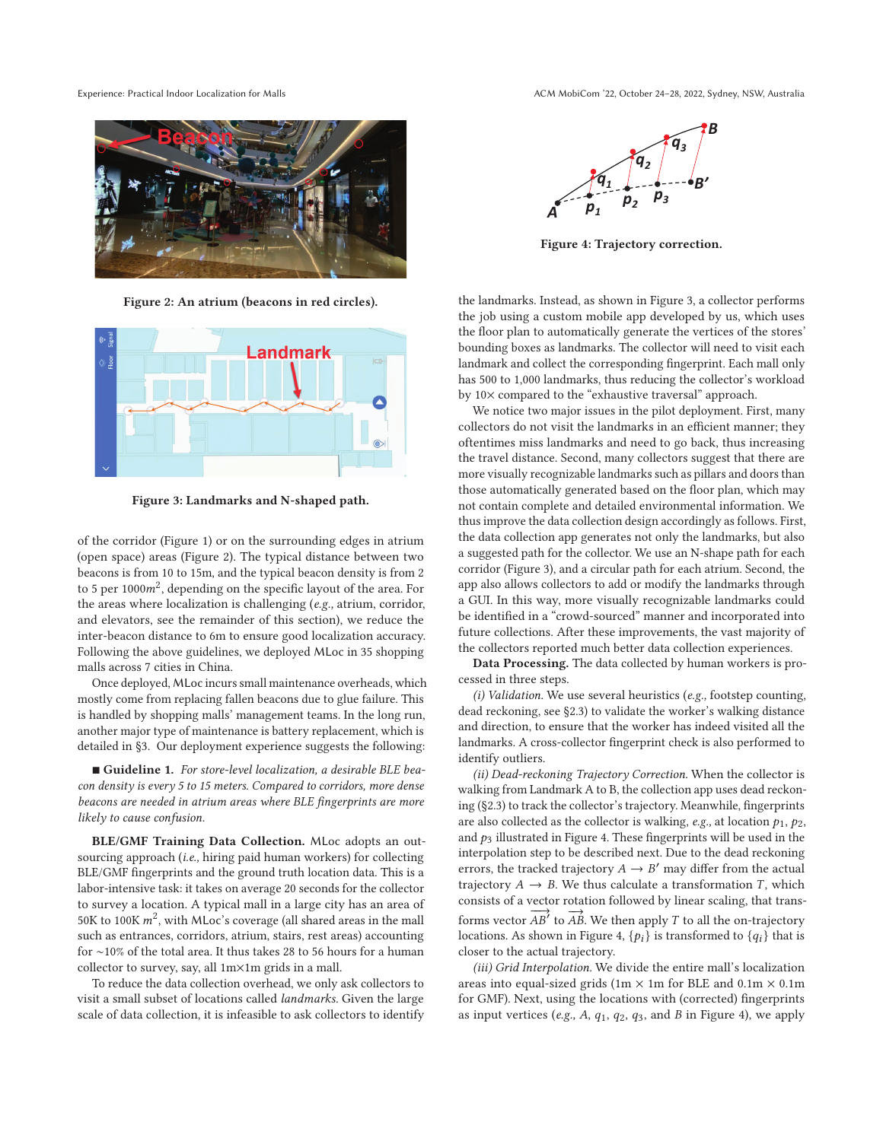

**Figure 2: An atrium (beacons in red circles).**



**Figure 3: Landmarks and N-shaped path.**

of the corridor (Figure 1) or on the surrounding edges in atrium (open space) areas (Figure 2). The typical distance between two beacons is from 10 to 15m, and the typical beacon density is from 2 to 5 per  $1000m^2$ , depending on the specific layout of the area. For the areas where localization is challenging (*e.g.,* atrium, corridor, and elevators, see the remainder of this section), we reduce the inter-beacon distance to 6m to ensure good localization accuracy. Following the above guidelines, we deployed MLoc in 35 shopping malls across 7 cities in China.

Once deployed, MLoc incurs small maintenance overheads, which mostly come from replacing fallen beacons due to glue failure. This is handled by shopping malls' management teams. In the long run, another major type of maintenance is battery replacement, which is detailed in §3. Our deployment experience suggests the following:

- **Guideline 1.** *For store-level localization, a desirable BLE beacon density is every 5 to 15 meters. Compared to corridors, more dense beacons are needed in atrium areas where BLE fingerprints are more likely to cause confusion.*

**BLE/GMF Training Data Collection.** MLoc adopts an outsourcing approach (*i.e.,* hiring paid human workers) for collecting BLE/GMF fingerprints and the ground truth location data. This is a labor-intensive task: it takes on average 20 seconds for the collector to survey a location. A typical mall in a large city has an area of 50K to 100K  $m^2$ , with MLoc's coverage (all shared areas in the mall such as entrances, corridors, atrium, stairs, rest areas) accounting for ∼10% of the total area. It thus takes 28 to 56 hours for a human collector to survey, say, all 1m×1m grids in a mall.

To reduce the data collection overhead, we only ask collectors to visit a small subset of locations called *landmarks*. Given the large scale of data collection, it is infeasible to ask collectors to identify



**Figure 4: Trajectory correction.**

the landmarks. Instead, as shown in Figure 3, a collector performs the job using a custom mobile app developed by us, which uses the floor plan to automatically generate the vertices of the stores' bounding boxes as landmarks. The collector will need to visit each landmark and collect the corresponding fingerprint. Each mall only has 500 to 1,000 landmarks, thus reducing the collector's workload by 10× compared to the "exhaustive traversal" approach.

We notice two major issues in the pilot deployment. First, many collectors do not visit the landmarks in an efficient manner; they oftentimes miss landmarks and need to go back, thus increasing the travel distance. Second, many collectors suggest that there are more visually recognizable landmarks such as pillars and doors than those automatically generated based on the floor plan, which may not contain complete and detailed environmental information. We thus improve the data collection design accordingly as follows. First, the data collection app generates not only the landmarks, but also a suggested path for the collector. We use an N-shape path for each corridor (Figure 3), and a circular path for each atrium. Second, the app also allows collectors to add or modify the landmarks through a GUI. In this way, more visually recognizable landmarks could be identified in a "crowd-sourced" manner and incorporated into future collections. After these improvements, the vast majority of the collectors reported much better data collection experiences.

**Data Processing.** The data collected by human workers is processed in three steps.

*(i) Validation.* We use several heuristics (*e.g.,* footstep counting, dead reckoning, see §2.3) to validate the worker's walking distance and direction, to ensure that the worker has indeed visited all the landmarks. A cross-collector fingerprint check is also performed to identify outliers.

*(ii) Dead-reckoning Trajectory Correction.* When the collector is walking from Landmark A to B, the collection app uses dead reckoning (§2.3) to track the collector's trajectory. Meanwhile, fingerprints are also collected as the collector is walking,  $e.g.,$  at location  $p_1, p_2,$ and  $p_3$  illustrated in Figure 4. These fingerprints will be used in the interpolation step to be described next. Due to the dead reckoning errors, the tracked trajectory  $A \rightarrow B'$  may differ from the actual trajectory  $A \rightarrow B$ . We thus calculate a transformation *T*, which consists of a vector rotation followed by linear scaling, that transforms vector  $\overrightarrow{AB}$  to  $\overrightarrow{AB}$ . We then apply T to all the on-trajectory locations. As shown in Figure 4,  $\{p_i\}$  is transformed to  $\{q_i\}$  that is closer to the actual trajectory.

*(iii) Grid Interpolation.* We divide the entire mall's localization areas into equal-sized grids (1m  $\times$  1m for BLE and 0.1m  $\times$  0.1m for GMF). Next, using the locations with (corrected) fingerprints as input vertices (e.g.,  $A$ ,  $q_1$ ,  $q_2$ ,  $q_3$ , and  $B$  in Figure 4), we apply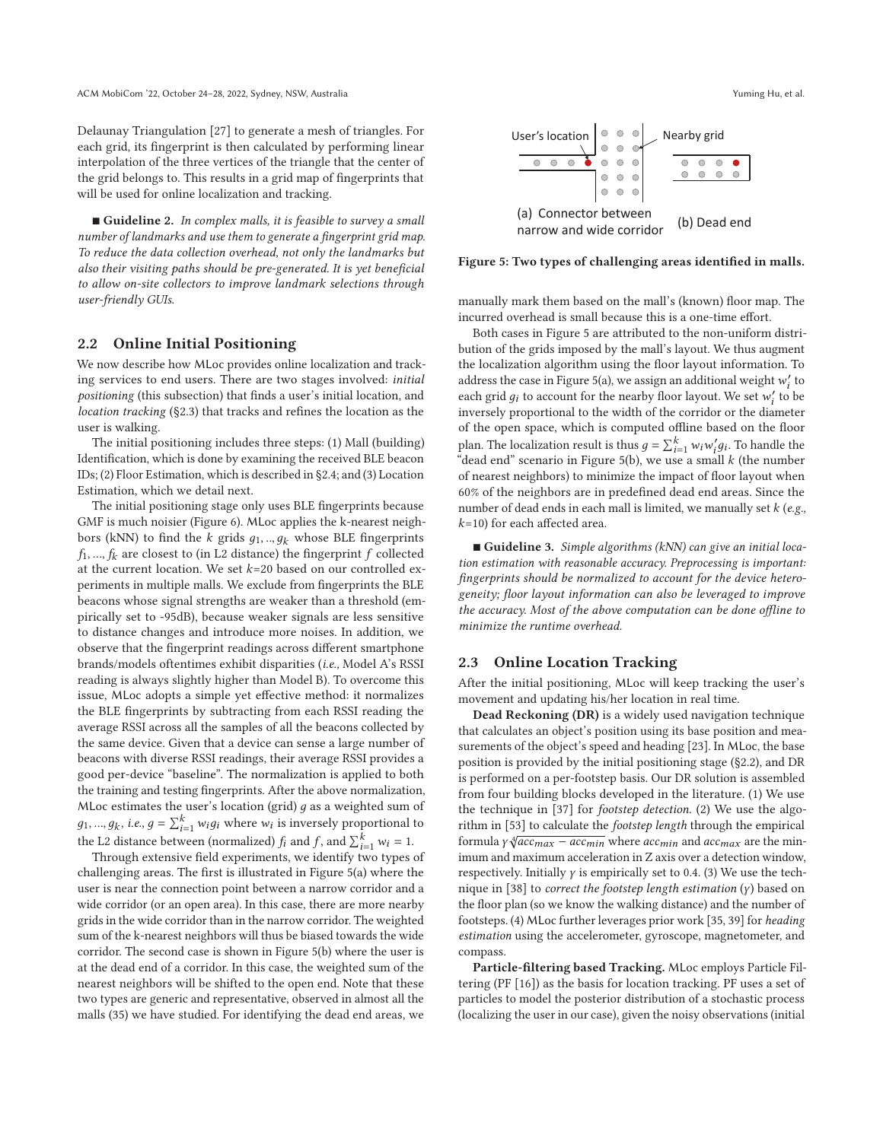Delaunay Triangulation [27] to generate a mesh of triangles. For each grid, its fingerprint is then calculated by performing linear interpolation of the three vertices of the triangle that the center of the grid belongs to. This results in a grid map of fingerprints that will be used for online localization and tracking.

- **Guideline 2.** *In complex malls, it is feasible to survey a small number of landmarks and use them to generate a fingerprint grid map. To reduce the data collection overhead, not only the landmarks but also their visiting paths should be pre-generated. It is yet beneficial to allow on-site collectors to improve landmark selections through user-friendly GUIs.*

# **2.2 Online Initial Positioning**

We now describe how MLoc provides online localization and tracking services to end users. There are two stages involved: *initial positioning* (this subsection) that finds a user's initial location, and *location tracking* (§2.3) that tracks and refines the location as the user is walking.

The initial positioning includes three steps: (1) Mall (building) Identification, which is done by examining the received BLE beacon IDs; (2) Floor Estimation, which is described in §2.4; and (3) Location Estimation, which we detail next.

The initial positioning stage only uses BLE fingerprints because GMF is much noisier (Figure 6). MLoc applies the k-nearest neighbors (kNN) to find the  $k$  grids  $g_1, ..., g_k$  whose BLE fingerprints  $f_1$ , ...,  $f_k$  are closest to (in L2 distance) the fingerprint  $f$  collected at the current location. We set  $k=20$  based on our controlled experiments in multiple malls. We exclude from fingerprints the BLE beacons whose signal strengths are weaker than a threshold (empirically set to -95dB), because weaker signals are less sensitive to distance changes and introduce more noises. In addition, we observe that the fingerprint readings across different smartphone brands/models oftentimes exhibit disparities (*i.e.,* Model A's RSSI reading is always slightly higher than Model B). To overcome this issue, MLoc adopts a simple yet effective method: it normalizes the BLE fingerprints by subtracting from each RSSI reading the average RSSI across all the samples of all the beacons collected by the same device. Given that a device can sense a large number of beacons with diverse RSSI readings, their average RSSI provides a good per-device "baseline". The normalization is applied to both the training and testing fingerprints. After the above normalization, MLoc estimates the user's location (grid)  $g$  as a weighted sum of  $g_1, ..., g_k$ , *i.e.,*  $g = \sum_{i=1}^k w_i g_i$  where  $w_i$  is inversely proportional to the L2 distance between (normalized)  $f_i$  and  $f$ , and  $\sum_{i=1}^{k} w_i = 1$ .

Through extensive field experiments, we identify two types of challenging areas. The first is illustrated in Figure 5(a) where the user is near the connection point between a narrow corridor and a wide corridor (or an open area). In this case, there are more nearby grids in the wide corridor than in the narrow corridor. The weighted sum of the k-nearest neighbors will thus be biased towards the wide corridor. The second case is shown in Figure 5(b) where the user is at the dead end of a corridor. In this case, the weighted sum of the nearest neighbors will be shifted to the open end. Note that these two types are generic and representative, observed in almost all the malls (35) we have studied. For identifying the dead end areas, we





**Figure 5: Two types of challenging areas identified in malls.**

manually mark them based on the mall's (known) floor map. The incurred overhead is small because this is a one-time effort.

Both cases in Figure 5 are attributed to the non-uniform distribution of the grids imposed by the mall's layout. We thus augment the localization algorithm using the floor layout information. To address the case in Figure 5(a), we assign an additional weight  $w'_i$  to each grid  $g_i$  to account for the nearby floor layout. We set  $w'_i$  to be inversely proportional to the width of the corridor or the diameter of the open space, which is computed offline based on the floor plan. The localization result is thus  $g = \sum_{i=1}^{k} w_i w'_i g_i$ . To handle the "dead end" scenario in Figure 5(b), we use a small  $k$  (the number of nearest neighbors) to minimize the impact of floor layout when 60% of the neighbors are in predefined dead end areas. Since the number of dead ends in each mall is limited, we manually set (*e.g.,*  $k=10$ ) for each affected area.

- **Guideline 3.** *Simple algorithms (kNN) can give an initial location estimation with reasonable accuracy. Preprocessing is important: fingerprints should be normalized to account for the device heterogeneity; floor layout information can also be leveraged to improve the accuracy. Most of the above computation can be done offline to minimize the runtime overhead.*

#### **2.3 Online Location Tracking**

After the initial positioning, MLoc will keep tracking the user's movement and updating his/her location in real time.

**Dead Reckoning (DR)** is a widely used navigation technique that calculates an object's position using its base position and measurements of the object's speed and heading [23]. In MLoc, the base position is provided by the initial positioning stage (§2.2), and DR is performed on a per-footstep basis. Our DR solution is assembled from four building blocks developed in the literature. (1) We use the technique in [37] for *footstep detection*. (2) We use the algorithm in [53] to calculate the *footstep length* through the empirical formula  $\gamma \sqrt{acc_{max} - acc_{min}}$  where  $acc_{min}$  and  $acc_{max}$  are the minimum and maximum acceleration in Z axis over a detection window, respectively. Initially  $\gamma$  is empirically set to 0.4. (3) We use the technique in [38] to *correct the footstep length estimation*  $(y)$  based on the floor plan (so we know the walking distance) and the number of footsteps. (4) MLoc further leverages prior work [35, 39] for *heading estimation* using the accelerometer, gyroscope, magnetometer, and compass.

**Particle-filtering based Tracking.** MLoc employs Particle Filtering (PF [16]) as the basis for location tracking. PF uses a set of particles to model the posterior distribution of a stochastic process (localizing the user in our case), given the noisy observations (initial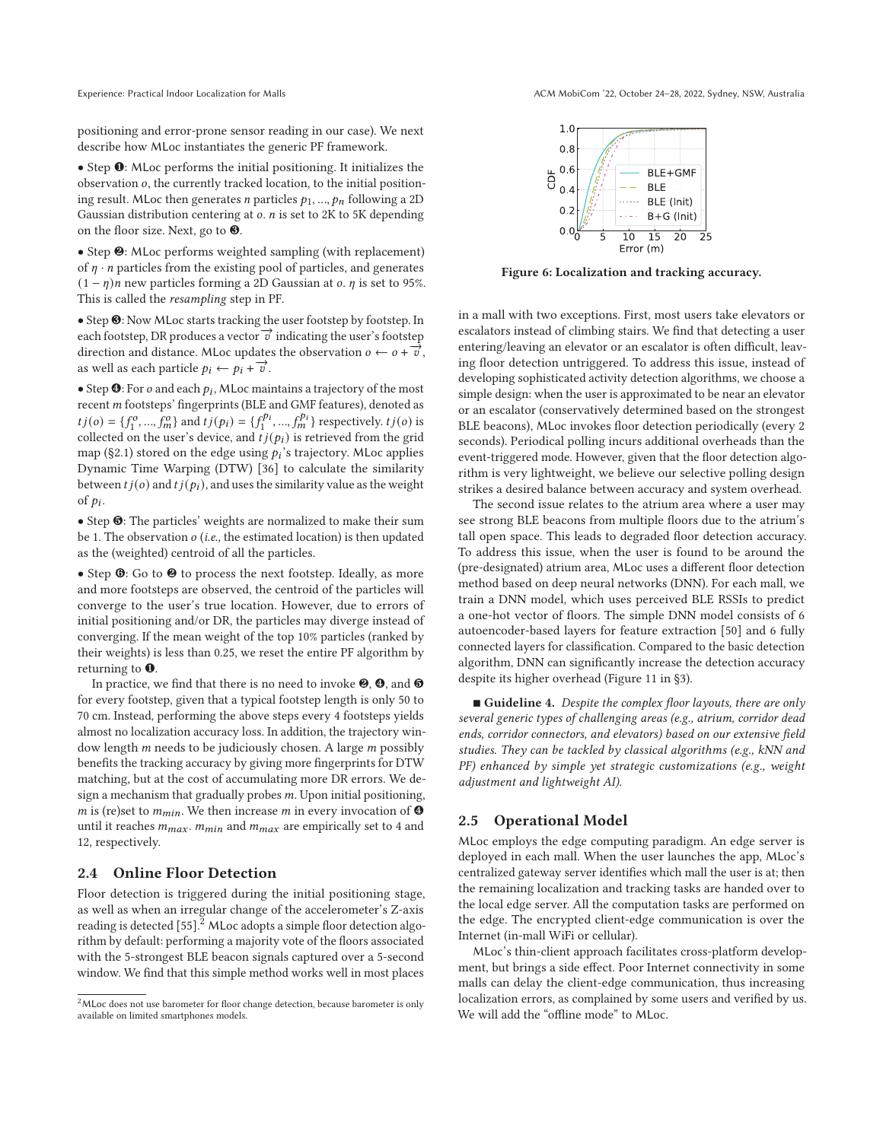positioning and error-prone sensor reading in our case). We next describe how MLoc instantiates the generic PF framework.

• Step ❶: MLoc performs the initial positioning. It initializes the observation  $o$ , the currently tracked location, to the initial positioning result. MLoc then generates *n* particles  $p_1, ..., p_n$  following a 2D Gaussian distribution centering at  $o$ .  $n$  is set to 2K to 5K depending on the floor size. Next, go to ❸.

• Step ❷: MLoc performs weighted sampling (with replacement) of  $\eta \cdot n$  particles from the existing pool of particles, and generates  $(1 - \eta)n$  new particles forming a 2D Gaussian at *o*.  $\eta$  is set to 95%. This is called the *resampling* step in PF.

• Step ❸: Now MLoc starts tracking the user footstep by footstep. In each footstep, DR produces a vector  $\vec{v}$  indicating the user's footstep direction and distance. MLoc updates the observation  $o \leftarrow o + \overrightarrow{v}$ , as well as each particle  $p_i \leftarrow p_i + \overrightarrow{v}$ .

• Step  $\mathbf{\Theta}$ : For *o* and each  $p_i$ , MLoc maintains a trajectory of the most recent m footsteps' fingerprints (BLE and GMF features), denoted as  $t j(o) = \{f_1^o, ..., f_m^o\}$  and  $t j(p_i) = \{f_1^{p_i}, ..., f_m^{p_i}\}$  respectively.  $t j(o)$  is collected on the user's device, and  $\hat{t}j(p_i)$  is retrieved from the grid map (§2.1) stored on the edge using  $p_i$ 's trajectory. MLoc applies Dynamic Time Warping (DTW) [36] to calculate the similarity between  $t j(o)$  and  $t j(p_i)$ , and uses the similarity value as the weight of  $p_i$ .

• Step ❺: The particles' weights are normalized to make their sum be 1. The observation (*i.e.,* the estimated location) is then updated as the (weighted) centroid of all the particles.

• Step  $\odot$ : Go to  $\odot$  to process the next footstep. Ideally, as more and more footsteps are observed, the centroid of the particles will converge to the user's true location. However, due to errors of initial positioning and/or DR, the particles may diverge instead of converging. If the mean weight of the top 10% particles (ranked by their weights) is less than 0.25, we reset the entire PF algorithm by returning to ❶.

In practice, we find that there is no need to invoke  $\mathbf{\Theta}, \mathbf{\Theta},$  and  $\mathbf{\Theta}$ for every footstep, given that a typical footstep length is only 50 to 70 cm. Instead, performing the above steps every 4 footsteps yields almost no localization accuracy loss. In addition, the trajectory window length  $m$  needs to be judiciously chosen. A large  $m$  possibly benefits the tracking accuracy by giving more fingerprints for DTW matching, but at the cost of accumulating more DR errors. We design a mechanism that gradually probes  $m$ . Upon initial positioning, m is (re)set to  $m_{min}$ . We then increase m in every invocation of  $\bullet$ until it reaches  $m_{max}$ .  $m_{min}$  and  $m_{max}$  are empirically set to 4 and 12, respectively.

# **2.4 Online Floor Detection**

Floor detection is triggered during the initial positioning stage, as well as when an irregular change of the accelerometer's Z-axis reading is detected [55].<sup>2</sup> MLoc adopts a simple floor detection algorithm by default: performing a majority vote of the floors associated with the 5-strongest BLE beacon signals captured over a 5-second window. We find that this simple method works well in most places



**Figure 6: Localization and tracking accuracy.**

in a mall with two exceptions. First, most users take elevators or escalators instead of climbing stairs. We find that detecting a user entering/leaving an elevator or an escalator is often difficult, leaving floor detection untriggered. To address this issue, instead of developing sophisticated activity detection algorithms, we choose a simple design: when the user is approximated to be near an elevator or an escalator (conservatively determined based on the strongest BLE beacons), MLoc invokes floor detection periodically (every 2 seconds). Periodical polling incurs additional overheads than the event-triggered mode. However, given that the floor detection algorithm is very lightweight, we believe our selective polling design strikes a desired balance between accuracy and system overhead.

The second issue relates to the atrium area where a user may see strong BLE beacons from multiple floors due to the atrium's tall open space. This leads to degraded floor detection accuracy. To address this issue, when the user is found to be around the (pre-designated) atrium area, MLoc uses a different floor detection method based on deep neural networks (DNN). For each mall, we train a DNN model, which uses perceived BLE RSSIs to predict a one-hot vector of floors. The simple DNN model consists of 6 autoencoder-based layers for feature extraction [50] and 6 fully connected layers for classification. Compared to the basic detection algorithm, DNN can significantly increase the detection accuracy despite its higher overhead (Figure 11 in §3).

■ Guideline 4. Despite the complex floor layouts, there are only *several generic types of challenging areas (e.g., atrium, corridor dead ends, corridor connectors, and elevators) based on our extensive field studies. They can be tackled by classical algorithms (e.g., kNN and PF) enhanced by simple yet strategic customizations (e.g., weight adjustment and lightweight AI).*

#### **2.5 Operational Model**

MLoc employs the edge computing paradigm. An edge server is deployed in each mall. When the user launches the app, MLoc's centralized gateway server identifies which mall the user is at; then the remaining localization and tracking tasks are handed over to the local edge server. All the computation tasks are performed on the edge. The encrypted client-edge communication is over the Internet (in-mall WiFi or cellular).

MLoc's thin-client approach facilitates cross-platform development, but brings a side effect. Poor Internet connectivity in some malls can delay the client-edge communication, thus increasing localization errors, as complained by some users and verified by us. We will add the "offline mode" to MLoc.

<sup>&</sup>lt;sup>2</sup>MLoc does not use barometer for floor change detection, because barometer is only available on limited smartphones models.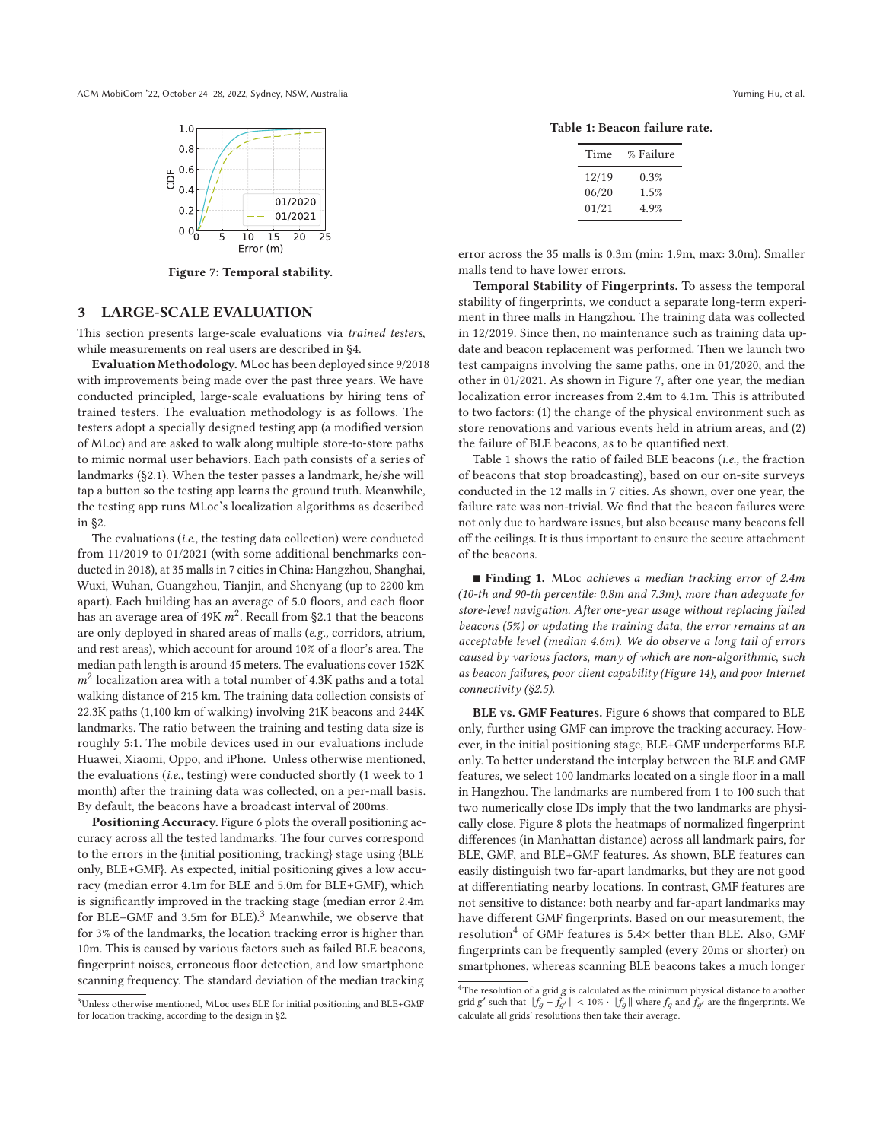

**Figure 7: Temporal stability.**

# **3 LARGE-SCALE EVALUATION**

This section presents large-scale evaluations via *trained testers*, while measurements on real users are described in §4.

**Evaluation Methodology.** MLoc has been deployed since 9/2018 with improvements being made over the past three years. We have conducted principled, large-scale evaluations by hiring tens of trained testers. The evaluation methodology is as follows. The testers adopt a specially designed testing app (a modified version of MLoc) and are asked to walk along multiple store-to-store paths to mimic normal user behaviors. Each path consists of a series of landmarks (§2.1). When the tester passes a landmark, he/she will tap a button so the testing app learns the ground truth. Meanwhile, the testing app runs MLoc's localization algorithms as described in §2.

The evaluations (*i.e.,* the testing data collection) were conducted from 11/2019 to 01/2021 (with some additional benchmarks conducted in 2018), at 35 malls in 7 cities in China: Hangzhou, Shanghai, Wuxi, Wuhan, Guangzhou, Tianjin, and Shenyang (up to 2200 km apart). Each building has an average of 5.0 floors, and each floor has an average area of 49K  $m^2$ . Recall from §2.1 that the beacons are only deployed in shared areas of malls (*e.g.,* corridors, atrium, and rest areas), which account for around 10% of a floor's area. The median path length is around 45 meters. The evaluations cover 152K  $m<sup>2</sup>$  localization area with a total number of 4.3K paths and a total walking distance of 215 km. The training data collection consists of 22.3K paths (1,100 km of walking) involving 21K beacons and 244K landmarks. The ratio between the training and testing data size is roughly 5:1. The mobile devices used in our evaluations include Huawei, Xiaomi, Oppo, and iPhone. Unless otherwise mentioned, the evaluations (*i.e.,* testing) were conducted shortly (1 week to 1 month) after the training data was collected, on a per-mall basis. By default, the beacons have a broadcast interval of 200ms.

**Positioning Accuracy.** Figure 6 plots the overall positioning accuracy across all the tested landmarks. The four curves correspond to the errors in the {initial positioning, tracking} stage using {BLE only, BLE+GMF}. As expected, initial positioning gives a low accuracy (median error 4.1m for BLE and 5.0m for BLE+GMF), which is significantly improved in the tracking stage (median error 2.4m for BLE+GMF and 3.5m for BLE<sup>3</sup> Meanwhile, we observe that for 3% of the landmarks, the location tracking error is higher than 10m. This is caused by various factors such as failed BLE beacons, fingerprint noises, erroneous floor detection, and low smartphone scanning frequency. The standard deviation of the median tracking

**Table 1: Beacon failure rate.**

| Time  | % Failure |  |  |
|-------|-----------|--|--|
| 12/19 | 0.3%      |  |  |
| 06/20 | 1.5%      |  |  |
| 01/21 | 4.9%      |  |  |

error across the 35 malls is 0.3m (min: 1.9m, max: 3.0m). Smaller malls tend to have lower errors.

**Temporal Stability of Fingerprints.** To assess the temporal stability of fingerprints, we conduct a separate long-term experiment in three malls in Hangzhou. The training data was collected in 12/2019. Since then, no maintenance such as training data update and beacon replacement was performed. Then we launch two test campaigns involving the same paths, one in 01/2020, and the other in 01/2021. As shown in Figure 7, after one year, the median localization error increases from 2.4m to 4.1m. This is attributed to two factors: (1) the change of the physical environment such as store renovations and various events held in atrium areas, and (2) the failure of BLE beacons, as to be quantified next.

Table 1 shows the ratio of failed BLE beacons (*i.e.,* the fraction of beacons that stop broadcasting), based on our on-site surveys conducted in the 12 malls in 7 cities. As shown, over one year, the failure rate was non-trivial. We find that the beacon failures were not only due to hardware issues, but also because many beacons fell off the ceilings. It is thus important to ensure the secure attachment of the beacons.

- **Finding 1.** MLoc *achieves a median tracking error of 2.4m (10-th and 90-th percentile: 0.8m and 7.3m), more than adequate for store-level navigation. After one-year usage without replacing failed beacons (5%) or updating the training data, the error remains at an acceptable level (median 4.6m). We do observe a long tail of errors caused by various factors, many of which are non-algorithmic, such as beacon failures, poor client capability (Figure 14), and poor Internet connectivity (§2.5).*

**BLE vs. GMF Features.** Figure 6 shows that compared to BLE only, further using GMF can improve the tracking accuracy. However, in the initial positioning stage, BLE+GMF underperforms BLE only. To better understand the interplay between the BLE and GMF features, we select 100 landmarks located on a single floor in a mall in Hangzhou. The landmarks are numbered from 1 to 100 such that two numerically close IDs imply that the two landmarks are physically close. Figure 8 plots the heatmaps of normalized fingerprint differences (in Manhattan distance) across all landmark pairs, for BLE, GMF, and BLE+GMF features. As shown, BLE features can easily distinguish two far-apart landmarks, but they are not good at differentiating nearby locations. In contrast, GMF features are not sensitive to distance: both nearby and far-apart landmarks may have different GMF fingerprints. Based on our measurement, the resolution<sup>4</sup> of GMF features is 5.4 $\times$  better than BLE. Also, GMF fingerprints can be frequently sampled (every 20ms or shorter) on smartphones, whereas scanning BLE beacons takes a much longer

<sup>3</sup>Unless otherwise mentioned, MLoc uses BLE for initial positioning and BLE+GMF for location tracking, according to the design in §2.

 ${}^{4}{\rm The}$  resolution of a grid  $g$  is calculated as the minimum physical distance to another grid g' such that  $||f_g - f_{g'}|| < 10\% \cdot ||f_g||$  where  $f_g$  and  $f_{g'}$  are the fingerprints. We calculate all grids' resolutions then take their average.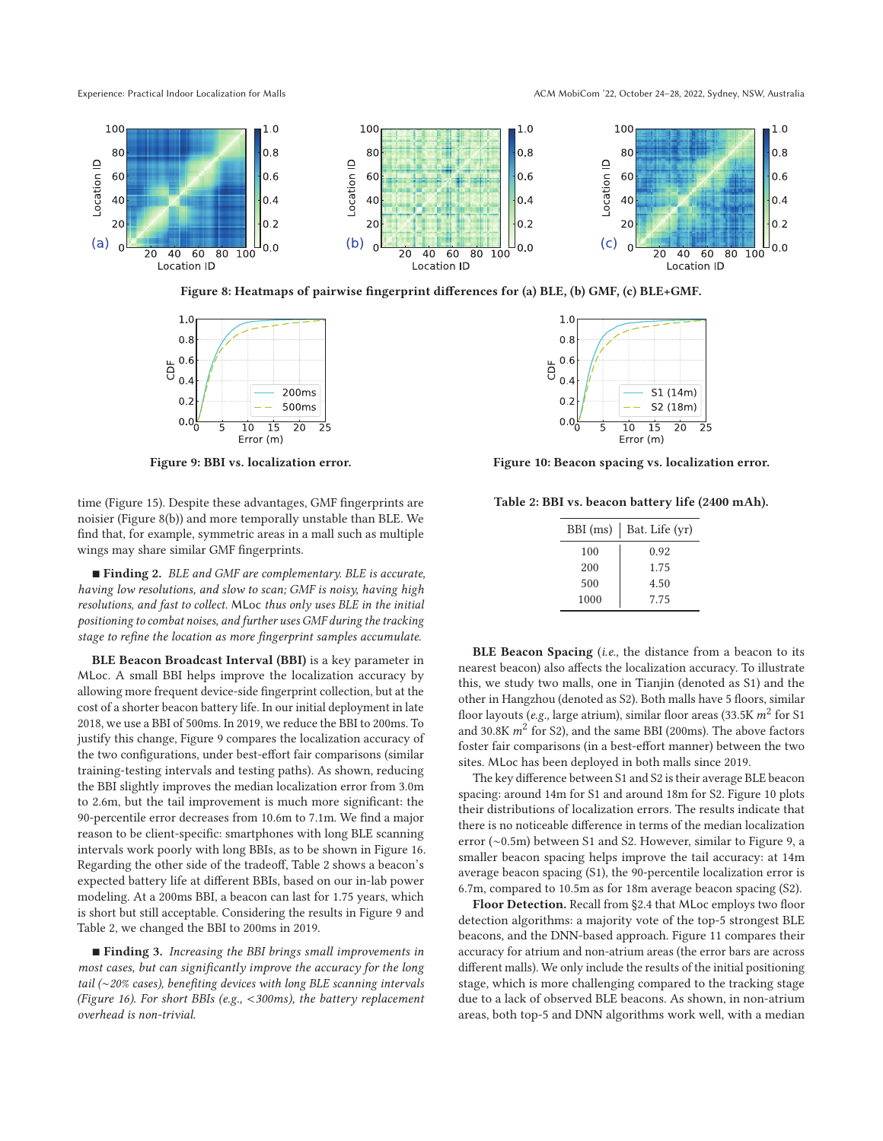Experience: Practical Indoor Localization for Malls **ACM ACM MobiCom '22, October 24-28, 2022, Sydney, NSW, Australia** 



**Figure 8: Heatmaps of pairwise fingerprint differences for (a) BLE, (b) GMF, (c) BLE+GMF.**



**Figure 9: BBI vs. localization error.**

time (Figure 15). Despite these advantages, GMF fingerprints are noisier (Figure 8(b)) and more temporally unstable than BLE. We find that, for example, symmetric areas in a mall such as multiple wings may share similar GMF fingerprints.

- **Finding 2.** *BLE and GMF are complementary. BLE is accurate, having low resolutions, and slow to scan; GMF is noisy, having high resolutions, and fast to collect.* MLoc *thus only uses BLE in the initial positioning to combat noises, and further uses GMF during the tracking stage to refine the location as more fingerprint samples accumulate.*

**BLE Beacon Broadcast Interval (BBI)** is a key parameter in MLoc. A small BBI helps improve the localization accuracy by allowing more frequent device-side fingerprint collection, but at the cost of a shorter beacon battery life. In our initial deployment in late 2018, we use a BBI of 500ms. In 2019, we reduce the BBI to 200ms. To justify this change, Figure 9 compares the localization accuracy of the two configurations, under best-effort fair comparisons (similar training-testing intervals and testing paths). As shown, reducing the BBI slightly improves the median localization error from 3.0m to 2.6m, but the tail improvement is much more significant: the 90-percentile error decreases from 10.6m to 7.1m. We find a major reason to be client-specific: smartphones with long BLE scanning intervals work poorly with long BBIs, as to be shown in Figure 16. Regarding the other side of the tradeoff, Table 2 shows a beacon's expected battery life at different BBIs, based on our in-lab power modeling. At a 200ms BBI, a beacon can last for 1.75 years, which is short but still acceptable. Considering the results in Figure 9 and Table 2, we changed the BBI to 200ms in 2019.

■ **Finding 3.** *Increasing the BBI brings small improvements in most cases, but can significantly improve the accuracy for the long tail (*∼*20% cases), benefiting devices with long BLE scanning intervals (Figure 16). For short BBIs (e.g.,* <*300ms), the battery replacement overhead is non-trivial.*



**Figure 10: Beacon spacing vs. localization error.**

**Table 2: BBI vs. beacon battery life (2400 mAh).**

| BBI (ms) | Bat. Life (yr) |
|----------|----------------|
| 100      | 0.92           |
| 200      | 1.75           |
| 500      | 4.50           |
| 1000     | 7.75           |

**BLE Beacon Spacing** (*i.e.,* the distance from a beacon to its nearest beacon) also affects the localization accuracy. To illustrate this, we study two malls, one in Tianjin (denoted as S1) and the other in Hangzhou (denoted as S2). Both malls have 5 floors, similar floor layouts (*e.g.*, large atrium), similar floor areas (33.5K  $m^2$  for S1 and 30.8K  $m^2$  for S2), and the same BBI (200ms). The above factors foster fair comparisons (in a best-effort manner) between the two sites. MLoc has been deployed in both malls since 2019.

The key difference between S1 and S2 is their average BLE beacon spacing: around 14m for S1 and around 18m for S2. Figure 10 plots their distributions of localization errors. The results indicate that there is no noticeable difference in terms of the median localization error (∼0.5m) between S1 and S2. However, similar to Figure 9, a smaller beacon spacing helps improve the tail accuracy: at 14m average beacon spacing (S1), the 90-percentile localization error is 6.7m, compared to 10.5m as for 18m average beacon spacing (S2).

**Floor Detection.** Recall from §2.4 that MLoc employs two floor detection algorithms: a majority vote of the top-5 strongest BLE beacons, and the DNN-based approach. Figure 11 compares their accuracy for atrium and non-atrium areas (the error bars are across different malls). We only include the results of the initial positioning stage, which is more challenging compared to the tracking stage due to a lack of observed BLE beacons. As shown, in non-atrium areas, both top-5 and DNN algorithms work well, with a median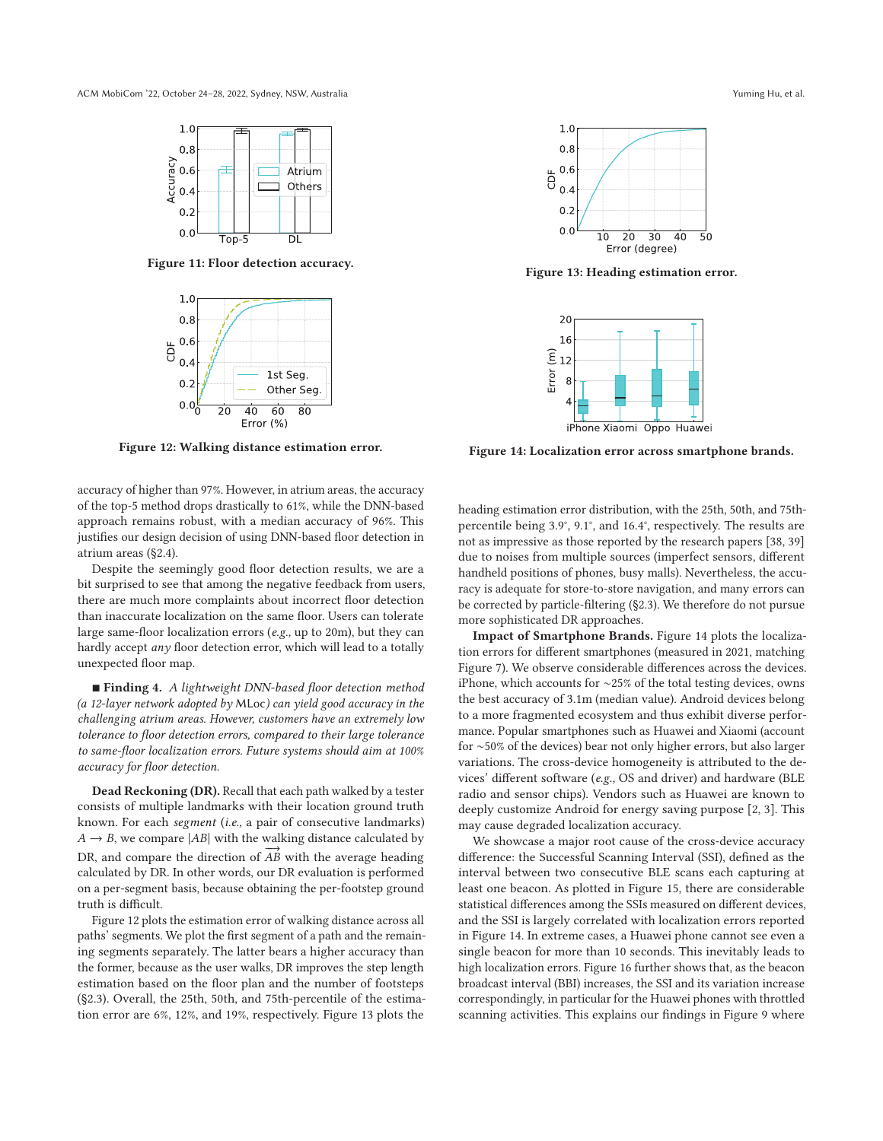

**Figure 11: Floor detection accuracy.**



**Figure 12: Walking distance estimation error.**

accuracy of higher than 97%. However, in atrium areas, the accuracy of the top-5 method drops drastically to 61%, while the DNN-based approach remains robust, with a median accuracy of 96%. This justifies our design decision of using DNN-based floor detection in atrium areas (§2.4).

Despite the seemingly good floor detection results, we are a bit surprised to see that among the negative feedback from users, there are much more complaints about incorrect floor detection than inaccurate localization on the same floor. Users can tolerate large same-floor localization errors (*e.g.,* up to 20m), but they can hardly accept *any* floor detection error, which will lead to a totally unexpected floor map.

■ **Finding 4.** *A lightweight DNN-based floor detection method (a 12-layer network adopted by* MLoc*) can yield good accuracy in the challenging atrium areas. However, customers have an extremely low tolerance to floor detection errors, compared to their large tolerance to same-floor localization errors. Future systems should aim at 100% accuracy for floor detection.*

**Dead Reckoning (DR).** Recall that each path walked by a tester consists of multiple landmarks with their location ground truth known. For each *segment* (*i.e.,* a pair of consecutive landmarks)  $A \rightarrow B$ , we compare  $|AB|$  with the walking distance calculated by DR, and compare the direction of  $\overrightarrow{AB}$  with the average heading calculated by DR. In other words, our DR evaluation is performed on a per-segment basis, because obtaining the per-footstep ground truth is difficult.

Figure 12 plots the estimation error of walking distance across all paths' segments. We plot the first segment of a path and the remaining segments separately. The latter bears a higher accuracy than the former, because as the user walks, DR improves the step length estimation based on the floor plan and the number of footsteps (§2.3). Overall, the 25th, 50th, and 75th-percentile of the estimation error are 6%, 12%, and 19%, respectively. Figure 13 plots the



**Figure 13: Heading estimation error.**



**Figure 14: Localization error across smartphone brands.**

heading estimation error distribution, with the 25th, 50th, and 75thpercentile being 3.9°, 9.1°, and 16.4°, respectively. The results are not as impressive as those reported by the research papers [38, 39] due to noises from multiple sources (imperfect sensors, different handheld positions of phones, busy malls). Nevertheless, the accuracy is adequate for store-to-store navigation, and many errors can be corrected by particle-filtering (§2.3). We therefore do not pursue more sophisticated DR approaches.

**Impact of Smartphone Brands.** Figure 14 plots the localization errors for different smartphones (measured in 2021, matching Figure 7). We observe considerable differences across the devices. iPhone, which accounts for ∼25% of the total testing devices, owns the best accuracy of 3.1m (median value). Android devices belong to a more fragmented ecosystem and thus exhibit diverse performance. Popular smartphones such as Huawei and Xiaomi (account for ∼50% of the devices) bear not only higher errors, but also larger variations. The cross-device homogeneity is attributed to the devices' different software (*e.g.,* OS and driver) and hardware (BLE radio and sensor chips). Vendors such as Huawei are known to deeply customize Android for energy saving purpose [2, 3]. This may cause degraded localization accuracy.

We showcase a major root cause of the cross-device accuracy difference: the Successful Scanning Interval (SSI), defined as the interval between two consecutive BLE scans each capturing at least one beacon. As plotted in Figure 15, there are considerable statistical differences among the SSIs measured on different devices, and the SSI is largely correlated with localization errors reported in Figure 14. In extreme cases, a Huawei phone cannot see even a single beacon for more than 10 seconds. This inevitably leads to high localization errors. Figure 16 further shows that, as the beacon broadcast interval (BBI) increases, the SSI and its variation increase correspondingly, in particular for the Huawei phones with throttled scanning activities. This explains our findings in Figure 9 where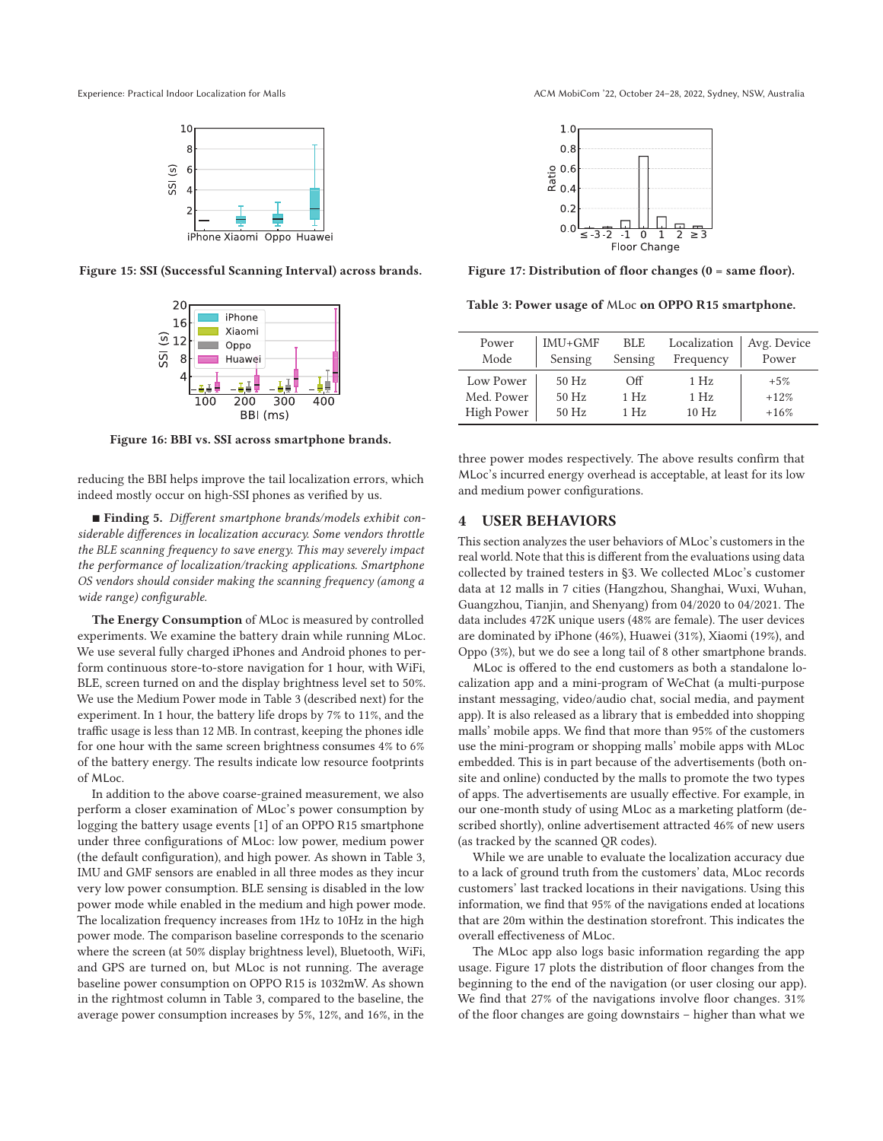

**Figure 15: SSI (Successful Scanning Interval) across brands.**



**Figure 16: BBI vs. SSI across smartphone brands.**

reducing the BBI helps improve the tail localization errors, which indeed mostly occur on high-SSI phones as verified by us.

■ Finding 5. Different smartphone brands/models exhibit con*siderable differences in localization accuracy. Some vendors throttle the BLE scanning frequency to save energy. This may severely impact the performance of localization/tracking applications. Smartphone OS vendors should consider making the scanning frequency (among a wide range) configurable.*

**The Energy Consumption** of MLoc is measured by controlled experiments. We examine the battery drain while running MLoc. We use several fully charged iPhones and Android phones to perform continuous store-to-store navigation for 1 hour, with WiFi, BLE, screen turned on and the display brightness level set to 50%. We use the Medium Power mode in Table 3 (described next) for the experiment. In 1 hour, the battery life drops by 7% to 11%, and the traffic usage is less than 12 MB. In contrast, keeping the phones idle for one hour with the same screen brightness consumes 4% to 6% of the battery energy. The results indicate low resource footprints of MLoc.

In addition to the above coarse-grained measurement, we also perform a closer examination of MLoc's power consumption by logging the battery usage events [1] of an OPPO R15 smartphone under three configurations of MLoc: low power, medium power (the default configuration), and high power. As shown in Table 3, IMU and GMF sensors are enabled in all three modes as they incur very low power consumption. BLE sensing is disabled in the low power mode while enabled in the medium and high power mode. The localization frequency increases from 1Hz to 10Hz in the high power mode. The comparison baseline corresponds to the scenario where the screen (at 50% display brightness level), Bluetooth, WiFi, and GPS are turned on, but MLoc is not running. The average baseline power consumption on OPPO R15 is 1032mW. As shown in the rightmost column in Table 3, compared to the baseline, the average power consumption increases by 5%, 12%, and 16%, in the



**Figure 17: Distribution of floor changes (0 = same floor).**

**Table 3: Power usage of** MLoc **on OPPO R15 smartphone.**

| Power<br>Mode     | $IMU + GMF$<br>Sensing | <b>BLE</b><br>Sensing | Localization<br>Frequency | Avg. Device<br>Power |
|-------------------|------------------------|-----------------------|---------------------------|----------------------|
| Low Power         | $50$ Hz                | Off                   | 1Hz                       | $+5%$                |
| Med. Power        | $50$ Hz                | 1H <sub>z</sub>       | 1H <sub>z</sub>           | $+12%$               |
| <b>High Power</b> | $50$ Hz                | 1Hz                   | 10 Hz                     | $+16%$               |

three power modes respectively. The above results confirm that MLoc's incurred energy overhead is acceptable, at least for its low and medium power configurations.

# **4 USER BEHAVIORS**

This section analyzes the user behaviors of MLoc's customers in the real world. Note that this is different from the evaluations using data collected by trained testers in §3. We collected MLoc's customer data at 12 malls in 7 cities (Hangzhou, Shanghai, Wuxi, Wuhan, Guangzhou, Tianjin, and Shenyang) from 04/2020 to 04/2021. The data includes 472K unique users (48% are female). The user devices are dominated by iPhone (46%), Huawei (31%), Xiaomi (19%), and Oppo (3%), but we do see a long tail of 8 other smartphone brands.

MLoc is offered to the end customers as both a standalone localization app and a mini-program of WeChat (a multi-purpose instant messaging, video/audio chat, social media, and payment app). It is also released as a library that is embedded into shopping malls' mobile apps. We find that more than 95% of the customers use the mini-program or shopping malls' mobile apps with MLoc embedded. This is in part because of the advertisements (both onsite and online) conducted by the malls to promote the two types of apps. The advertisements are usually effective. For example, in our one-month study of using MLoc as a marketing platform (described shortly), online advertisement attracted 46% of new users (as tracked by the scanned QR codes).

While we are unable to evaluate the localization accuracy due to a lack of ground truth from the customers' data, MLoc records customers' last tracked locations in their navigations. Using this information, we find that 95% of the navigations ended at locations that are 20m within the destination storefront. This indicates the overall effectiveness of MLoc.

The MLoc app also logs basic information regarding the app usage. Figure 17 plots the distribution of floor changes from the beginning to the end of the navigation (or user closing our app). We find that 27% of the navigations involve floor changes. 31% of the floor changes are going downstairs – higher than what we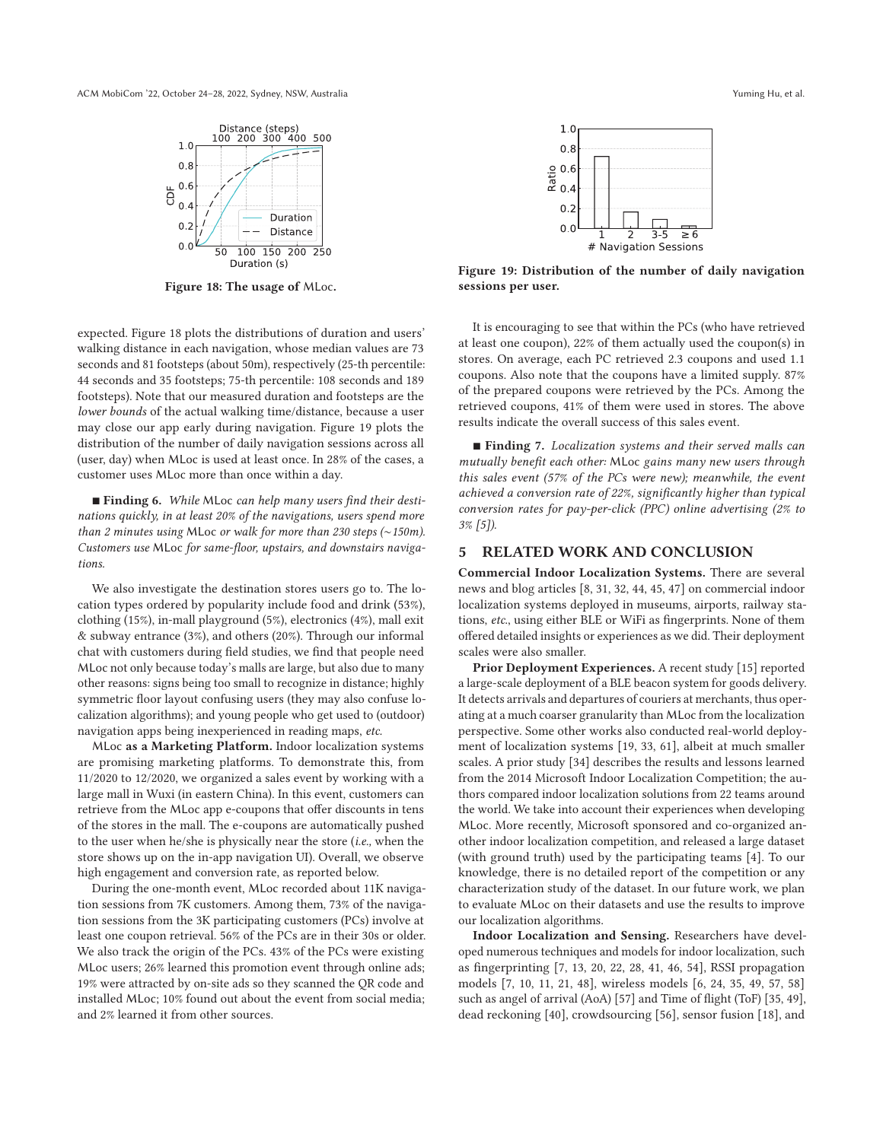ACM MobiCom '22, October 24–28, 2022, Sydney, NSW, Australia Yuming Hu, et al.



**Figure 18: The usage of** MLoc**.**

expected. Figure 18 plots the distributions of duration and users' walking distance in each navigation, whose median values are 73 seconds and 81 footsteps (about 50m), respectively (25-th percentile: 44 seconds and 35 footsteps; 75-th percentile: 108 seconds and 189 footsteps). Note that our measured duration and footsteps are the *lower bounds* of the actual walking time/distance, because a user may close our app early during navigation. Figure 19 plots the distribution of the number of daily navigation sessions across all (user, day) when MLoc is used at least once. In 28% of the cases, a customer uses MLoc more than once within a day.

■ **Finding 6.** While MLoc can help many users find their desti*nations quickly, in at least 20% of the navigations, users spend more than 2 minutes using* MLoc *or walk for more than 230 steps (*∼*150m). Customers use* MLoc *for same-floor, upstairs, and downstairs navigations.*

We also investigate the destination stores users go to. The location types ordered by popularity include food and drink (53%), clothing (15%), in-mall playground (5%), electronics (4%), mall exit & subway entrance (3%), and others (20%). Through our informal chat with customers during field studies, we find that people need MLoc not only because today's malls are large, but also due to many other reasons: signs being too small to recognize in distance; highly symmetric floor layout confusing users (they may also confuse localization algorithms); and young people who get used to (outdoor) navigation apps being inexperienced in reading maps, *etc.*

MLoc **as a Marketing Platform.** Indoor localization systems are promising marketing platforms. To demonstrate this, from 11/2020 to 12/2020, we organized a sales event by working with a large mall in Wuxi (in eastern China). In this event, customers can retrieve from the MLoc app e-coupons that offer discounts in tens of the stores in the mall. The e-coupons are automatically pushed to the user when he/she is physically near the store (*i.e.,* when the store shows up on the in-app navigation UI). Overall, we observe high engagement and conversion rate, as reported below.

During the one-month event, MLoc recorded about 11K navigation sessions from 7K customers. Among them, 73% of the navigation sessions from the 3K participating customers (PCs) involve at least one coupon retrieval. 56% of the PCs are in their 30s or older. We also track the origin of the PCs. 43% of the PCs were existing MLoc users; 26% learned this promotion event through online ads; 19% were attracted by on-site ads so they scanned the QR code and installed MLoc; 10% found out about the event from social media; and 2% learned it from other sources.



**Figure 19: Distribution of the number of daily navigation sessions per user.**

It is encouraging to see that within the PCs (who have retrieved at least one coupon), 22% of them actually used the coupon(s) in stores. On average, each PC retrieved 2.3 coupons and used 1.1 coupons. Also note that the coupons have a limited supply. 87% of the prepared coupons were retrieved by the PCs. Among the retrieved coupons, 41% of them were used in stores. The above results indicate the overall success of this sales event.

- **Finding 7.** *Localization systems and their served malls can mutually benefit each other:* MLoc *gains many new users through this sales event (57% of the PCs were new); meanwhile, the event achieved a conversion rate of 22%, significantly higher than typical conversion rates for pay-per-click (PPC) online advertising (2% to 3% [5]).*

#### **5 RELATED WORK AND CONCLUSION**

**Commercial Indoor Localization Systems.** There are several news and blog articles [8, 31, 32, 44, 45, 47] on commercial indoor localization systems deployed in museums, airports, railway stations, *etc.*, using either BLE or WiFi as fingerprints. None of them offered detailed insights or experiences as we did. Their deployment scales were also smaller.

**Prior Deployment Experiences.** A recent study [15] reported a large-scale deployment of a BLE beacon system for goods delivery. It detects arrivals and departures of couriers at merchants, thus operating at a much coarser granularity than MLoc from the localization perspective. Some other works also conducted real-world deployment of localization systems [19, 33, 61], albeit at much smaller scales. A prior study [34] describes the results and lessons learned from the 2014 Microsoft Indoor Localization Competition; the authors compared indoor localization solutions from 22 teams around the world. We take into account their experiences when developing MLoc. More recently, Microsoft sponsored and co-organized another indoor localization competition, and released a large dataset (with ground truth) used by the participating teams [4]. To our knowledge, there is no detailed report of the competition or any characterization study of the dataset. In our future work, we plan to evaluate MLoc on their datasets and use the results to improve our localization algorithms.

**Indoor Localization and Sensing.** Researchers have developed numerous techniques and models for indoor localization, such as fingerprinting [7, 13, 20, 22, 28, 41, 46, 54], RSSI propagation models [7, 10, 11, 21, 48], wireless models [6, 24, 35, 49, 57, 58] such as angel of arrival (AoA) [57] and Time of flight (ToF) [35, 49], dead reckoning [40], crowdsourcing [56], sensor fusion [18], and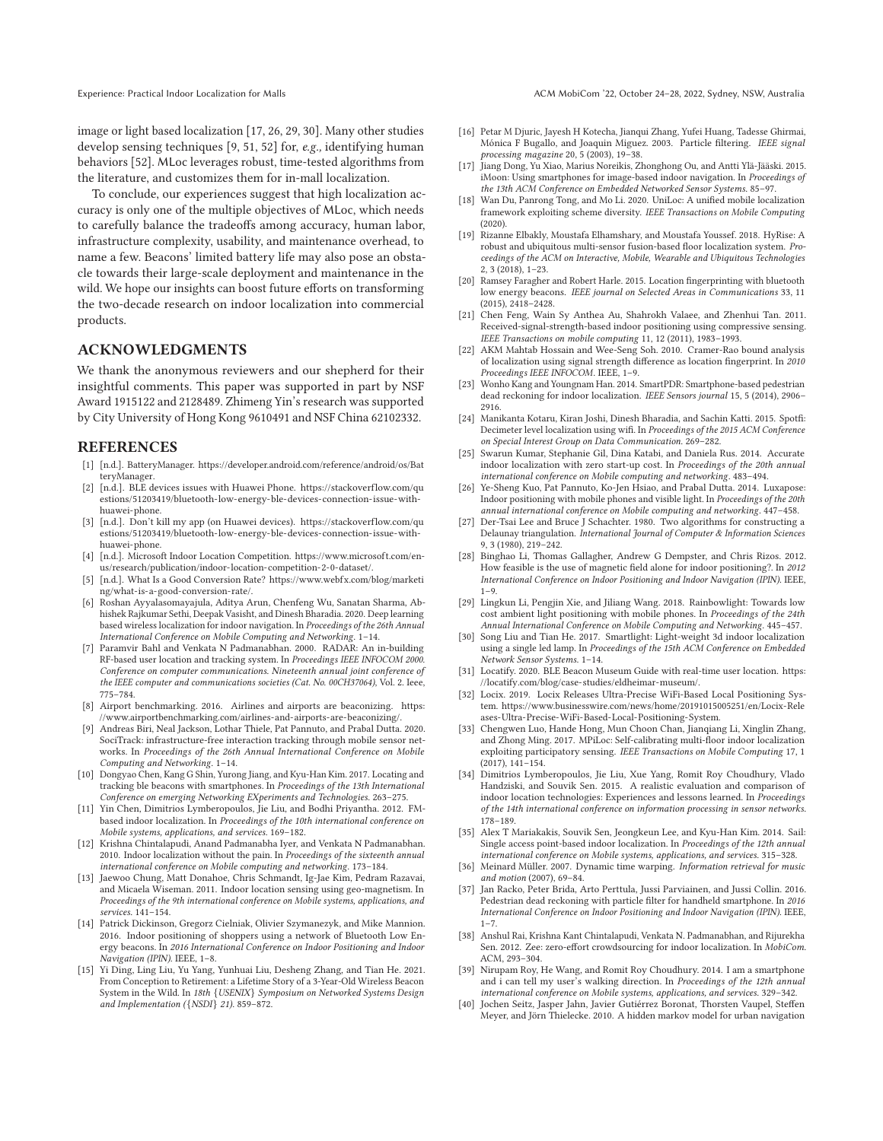image or light based localization [17, 26, 29, 30]. Many other studies develop sensing techniques [9, 51, 52] for, *e.g.,* identifying human behaviors [52]. MLoc leverages robust, time-tested algorithms from the literature, and customizes them for in-mall localization.

To conclude, our experiences suggest that high localization accuracy is only one of the multiple objectives of MLoc, which needs to carefully balance the tradeoffs among accuracy, human labor, infrastructure complexity, usability, and maintenance overhead, to name a few. Beacons' limited battery life may also pose an obstacle towards their large-scale deployment and maintenance in the wild. We hope our insights can boost future efforts on transforming the two-decade research on indoor localization into commercial products.

# **ACKNOWLEDGMENTS**

We thank the anonymous reviewers and our shepherd for their insightful comments. This paper was supported in part by NSF Award 1915122 and 2128489. Zhimeng Yin's research was supported by City University of Hong Kong 9610491 and NSF China 62102332.

#### **REFERENCES**

- [1] [n.d.]. BatteryManager. https://developer.android.com/reference/android/os/Bat teryManager.
- [2] [n.d.]. BLE devices issues with Huawei Phone. https://stackoverflow.com/qu estions/51203419/bluetooth-low-energy-ble-devices-connection-issue-withhuawei-phone.
- [3] [n.d.]. Don't kill my app (on Huawei devices). https://stackoverflow.com/qu estions/51203419/bluetooth-low-energy-ble-devices-connection-issue-withhuawei-phone.
- [4] [n.d.]. Microsoft Indoor Location Competition. https://www.microsof t.com/enus/research/publication/indoor-location-competition-2-0-dataset/.
- [5] [n.d.]. What Is a Good Conversion Rate? https://www.webfx.com/blog/marketi ng/what-is-a-good-conversion-rate/.
- [6] Roshan Ayyalasomayajula, Aditya Arun, Chenfeng Wu, Sanatan Sharma, Abhishek Rajkumar Sethi, Deepak Vasisht, and Dinesh Bharadia. 2020. Deep learning based wireless localization for indoor navigation. In *Proceedings of the 26th Annual International Conference on Mobile Computing and Networking*. 1–14.
- [7] Paramvir Bahl and Venkata N Padmanabhan. 2000. RADAR: An in-building RF-based user location and tracking system. In *Proceedings IEEE INFOCOM 2000. Conference on computer communications. Nineteenth annual joint conference of the IEEE computer and communications societies (Cat. No. 00CH37064)*, Vol. 2. Ieee, 775–784.
- [8] Airport benchmarking. 2016. Airlines and airports are beaconizing. https: //www.airportbenchmarking.com/airlines-and-airports-are-beaconizing/.
- [9] Andreas Biri, Neal Jackson, Lothar Thiele, Pat Pannuto, and Prabal Dutta. 2020. SociTrack: infrastructure-free interaction tracking through mobile sensor networks. In *Proceedings of the 26th Annual International Conference on Mobile Computing and Networking*. 1–14.
- [10] Dongyao Chen, Kang G Shin, Yurong Jiang, and Kyu-Han Kim. 2017. Locating and tracking ble beacons with smartphones. In *Proceedings of the 13th International Conference on emerging Networking EXperiments and Technologies*. 263–275.
- [11] Yin Chen, Dimitrios Lymberopoulos, Jie Liu, and Bodhi Priyantha. 2012. FMbased indoor localization. In *Proceedings of the 10th international conference on Mobile systems, applications, and services*. 169–182.
- [12] Krishna Chintalapudi, Anand Padmanabha Iyer, and Venkata N Padmanabhan. 2010. Indoor localization without the pain. In *Proceedings of the sixteenth annual international conference on Mobile computing and networking*. 173–184.
- [13] Jaewoo Chung, Matt Donahoe, Chris Schmandt, Ig-Jae Kim, Pedram Razavai, and Micaela Wiseman. 2011. Indoor location sensing using geo-magnetism. In *Proceedings of the 9th international conference on Mobile systems, applications, and services*. 141–154.
- [14] Patrick Dickinson, Gregorz Cielniak, Olivier Szymanezyk, and Mike Mannion. 2016. Indoor positioning of shoppers using a network of Bluetooth Low Energy beacons. In *2016 International Conference on Indoor Positioning and Indoor Navigation (IPIN)*. IEEE, 1–8.
- [15] Yi Ding, Ling Liu, Yu Yang, Yunhuai Liu, Desheng Zhang, and Tian He. 2021. From Conception to Retirement: a Lifetime Story of a 3-Year-Old Wireless Beacon System in the Wild. In *18th* {*USENIX*} *Symposium on Networked Systems Design and Implementation (*{*NSDI*} *21)*. 859–872.
- [16] Petar M Djuric, Jayesh H Kotecha, Jianqui Zhang, Yufei Huang, Tadesse Ghirmai, Mónica F Bugallo, and Joaquin Miguez. 2003. Particle filtering. *IEEE signal processing magazine* 20, 5 (2003), 19–38.
- [17] Jiang Dong, Yu Xiao, Marius Noreikis, Zhonghong Ou, and Antti Ylä-Jääski. 2015. iMoon: Using smartphones for image-based indoor navigation. In *Proceedings of the 13th ACM Conference on Embedded Networked Sensor Systems*. 85–97.
- [18] Wan Du, Panrong Tong, and Mo Li. 2020. UniLoc: A unified mobile localization framework exploiting scheme diversity. *IEEE Transactions on Mobile Computing* (2020).
- [19] Rizanne Elbakly, Moustafa Elhamshary, and Moustafa Youssef. 2018. HyRise: A robust and ubiquitous multi-sensor fusion-based floor localization system. *Proceedings of the ACM on Interactive, Mobile, Wearable and Ubiquitous Technologies* 2, 3 (2018), 1–23.
- [20] Ramsey Faragher and Robert Harle. 2015. Location fingerprinting with bluetooth low energy beacons. *IEEE journal on Selected Areas in Communications* 33, 11 (2015), 2418–2428.
- [21] Chen Feng, Wain Sy Anthea Au, Shahrokh Valaee, and Zhenhui Tan. 2011. Received-signal-strength-based indoor positioning using compressive sensing. *IEEE Transactions on mobile computing* 11, 12 (2011), 1983–1993.
- [22] AKM Mahtab Hossain and Wee-Seng Soh. 2010. Cramer-Rao bound analysis of localization using signal strength difference as location fingerprint. In *2010 Proceedings IEEE INFOCOM*. IEEE, 1–9.
- [23] Wonho Kang and Youngnam Han. 2014. SmartPDR: Smartphone-based pedestrian dead reckoning for indoor localization. *IEEE Sensors journal* 15, 5 (2014), 2906– 2916.
- [24] Manikanta Kotaru, Kiran Joshi, Dinesh Bharadia, and Sachin Katti. 2015. Spotfi: Decimeter level localization using wifi. In *Proceedings of the 2015 ACM Conference on Special Interest Group on Data Communication*. 269–282.
- [25] Swarun Kumar, Stephanie Gil, Dina Katabi, and Daniela Rus. 2014. Accurate indoor localization with zero start-up cost. In *Proceedings of the 20th annual international conference on Mobile computing and networking*. 483–494.
- [26] Ye-Sheng Kuo, Pat Pannuto, Ko-Jen Hsiao, and Prabal Dutta. 2014. Luxapose: Indoor positioning with mobile phones and visible light. In *Proceedings of the 20th annual international conference on Mobile computing and networking*. 447–458.
- [27] Der-Tsai Lee and Bruce J Schachter. 1980. Two algorithms for constructing a Delaunay triangulation. *International Journal of Computer & Information Sciences* 9, 3 (1980), 219–242.
- [28] Binghao Li, Thomas Gallagher, Andrew G Dempster, and Chris Rizos. 2012. How feasible is the use of magnetic field alone for indoor positioning?. In *2012 International Conference on Indoor Positioning and Indoor Navigation (IPIN)*. IEEE,  $1 - 9$ .
- [29] Lingkun Li, Pengjin Xie, and Jiliang Wang. 2018. Rainbowlight: Towards low cost ambient light positioning with mobile phones. In *Proceedings of the 24th Annual International Conference on Mobile Computing and Networking*. 445–457.
- [30] Song Liu and Tian He. 2017. Smartlight: Light-weight 3d indoor localization using a single led lamp. In *Proceedings of the 15th ACM Conference on Embedded Network Sensor Systems*. 1–14.
- [31] Locatify. 2020. BLE Beacon Museum Guide with real-time user location. https: //locatify.com/blog/case-studies/eldheimar-museum/.
- [32] Locix. 2019. Locix Releases Ultra-Precise WiFi-Based Local Positioning System. https://www.businesswire.com/news/home/20191015005251/en/Locix-Rele ases-Ultra-Precise-WiFi-Based-Local-Positioning-System.
- [33] Chengwen Luo, Hande Hong, Mun Choon Chan, Jianqiang Li, Xinglin Zhang, and Zhong Ming. 2017. MPiLoc: Self-calibrating multi-floor indoor localization exploiting participatory sensing. *IEEE Transactions on Mobile Computing* 17, 1 (2017), 141–154.
- [34] Dimitrios Lymberopoulos, Jie Liu, Xue Yang, Romit Roy Choudhury, Vlado Handziski, and Souvik Sen. 2015. A realistic evaluation and comparison of indoor location technologies: Experiences and lessons learned. In *Proceedings of the 14th international conference on information processing in sensor networks*. 178–189.
- [35] Alex T Mariakakis, Souvik Sen, Jeongkeun Lee, and Kyu-Han Kim. 2014. Sail: Single access point-based indoor localization. In *Proceedings of the 12th annual international conference on Mobile systems, applications, and services*. 315–328.
- [36] Meinard Müller. 2007. Dynamic time warping. *Information retrieval for music and motion* (2007), 69–84.
- [37] Jan Racko, Peter Brida, Arto Perttula, Jussi Parviainen, and Jussi Collin. 2016. Pedestrian dead reckoning with particle filter for handheld smartphone. In *2016 International Conference on Indoor Positioning and Indoor Navigation (IPIN)*. IEEE, 1–7.
- [38] Anshul Rai, Krishna Kant Chintalapudi, Venkata N. Padmanabhan, and Rijurekha Sen. 2012. Zee: zero-effort crowdsourcing for indoor localization. In *MobiCom*. ACM, 293–304.
- [39] Nirupam Roy, He Wang, and Romit Roy Choudhury. 2014. I am a smartphone and i can tell my user's walking direction. In *Proceedings of the 12th annual international conference on Mobile systems, applications, and services*. 329–342.
- [40] Jochen Seitz, Jasper Jahn, Javier Gutiérrez Boronat, Thorsten Vaupel, Steffen Meyer, and Jörn Thielecke. 2010. A hidden markov model for urban navigation